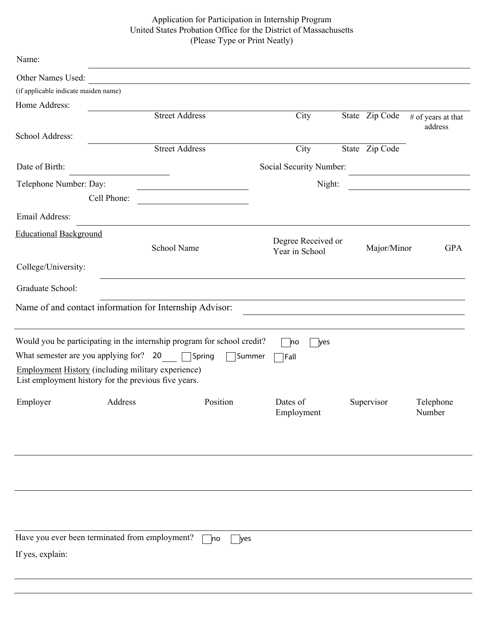## Application for Participation in Internship Program United States Probation Office for the District of Massachusetts (Please Type or Print Neatly)

| Name:                                                                                                             |                       |                                                                                                                      |                                      |  |                |                                                    |  |  |  |
|-------------------------------------------------------------------------------------------------------------------|-----------------------|----------------------------------------------------------------------------------------------------------------------|--------------------------------------|--|----------------|----------------------------------------------------|--|--|--|
| Other Names Used:                                                                                                 |                       | <u> 1980 - Jan Stein Stein Stein Stein Stein Stein Stein Stein Stein Stein Stein Stein Stein Stein Stein Stein S</u> |                                      |  |                |                                                    |  |  |  |
| (if applicable indicate maiden name)                                                                              |                       |                                                                                                                      |                                      |  |                |                                                    |  |  |  |
| Home Address:                                                                                                     |                       |                                                                                                                      |                                      |  |                |                                                    |  |  |  |
|                                                                                                                   | <b>Street Address</b> |                                                                                                                      | City                                 |  | State Zip Code | # of years at that<br>address                      |  |  |  |
| School Address:                                                                                                   |                       |                                                                                                                      |                                      |  |                |                                                    |  |  |  |
|                                                                                                                   | <b>Street Address</b> |                                                                                                                      | City                                 |  | State Zip Code |                                                    |  |  |  |
| Date of Birth:                                                                                                    |                       | Social Security Number:<br>the control of the control of the control of the control of                               |                                      |  |                |                                                    |  |  |  |
| Telephone Number: Day:                                                                                            |                       | the control of the control of the control of the control of the control of                                           | Night:                               |  |                | <u> 1989 - John Stein, Amerikaansk politiker (</u> |  |  |  |
|                                                                                                                   | Cell Phone:           |                                                                                                                      |                                      |  |                |                                                    |  |  |  |
| Email Address:                                                                                                    |                       |                                                                                                                      |                                      |  |                |                                                    |  |  |  |
| <b>Educational Background</b>                                                                                     |                       |                                                                                                                      |                                      |  |                |                                                    |  |  |  |
|                                                                                                                   | School Name           |                                                                                                                      | Degree Received or<br>Year in School |  | Major/Minor    | <b>GPA</b>                                         |  |  |  |
| College/University:                                                                                               |                       |                                                                                                                      |                                      |  |                |                                                    |  |  |  |
| Graduate School:                                                                                                  |                       |                                                                                                                      |                                      |  |                |                                                    |  |  |  |
|                                                                                                                   |                       |                                                                                                                      |                                      |  |                |                                                    |  |  |  |
| Name of and contact information for Internship Advisor:                                                           |                       |                                                                                                                      |                                      |  |                |                                                    |  |  |  |
| Would you be participating in the internship program for school credit?                                           |                       |                                                                                                                      | no<br>yes                            |  |                |                                                    |  |  |  |
| What semester are you applying for? 20                                                                            |                       | Spring<br>Summer                                                                                                     | Fall                                 |  |                |                                                    |  |  |  |
| <b>Employment History (including military experience)</b><br>List employment history for the previous five years. |                       |                                                                                                                      |                                      |  |                |                                                    |  |  |  |
| Employer                                                                                                          | Address               | Position                                                                                                             | Dates of<br>Employment               |  | Supervisor     | Telephone<br>Number                                |  |  |  |
|                                                                                                                   |                       |                                                                                                                      |                                      |  |                |                                                    |  |  |  |
|                                                                                                                   |                       |                                                                                                                      |                                      |  |                |                                                    |  |  |  |